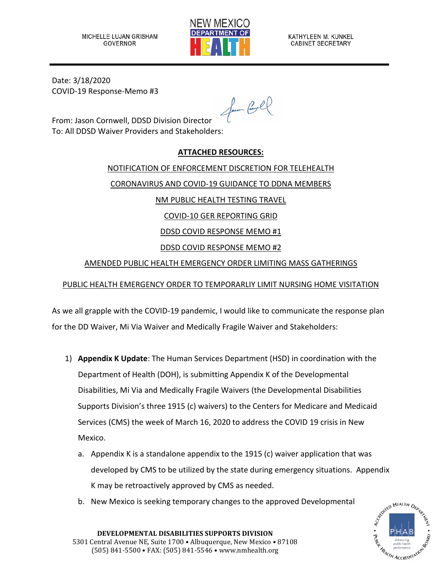

Date: 3/18/2020 COVID-19 Response-Memo #3

for Coll

From: Jason Cornwell, DDSD Division Director To: All DDSD Waiver Providers and Stakeholders:

### **ATTACHED RESOURCES:**

NOTIFICATION OF ENFORCEMENT DISCRETION FOR TELEHEALTH CORONAVIRUS AND COVID-19 GUIDANCE TO DDNA MEMBERS NM PUBLIC HEALTH TESTING TRAVEL COVID-10 GER REPORTING GRID DDSD COVID RESPONSE MEMO #1 DDSD COVID RESPONSE MEMO #2

## AMENDED PUBLIC HEALTH EMERGENCY ORDER LIMITING MASS GATHERINGS

# PUBLIC HEALTH EMERGENCY ORDER TO TEMPORARLIY LIMIT NURSING HOME VISITATION

As we all grapple with the COVID-19 pandemic, I would like to communicate the response plan for the DD Waiver, Mi Via Waiver and Medically Fragile Waiver and Stakeholders:

- 1) **Appendix K Update**: The Human Services Department (HSD) in coordination with the Department of Health (DOH), is submitting Appendix K of the Developmental Disabilities, Mi Via and Medically Fragile Waivers (the Developmental Disabilities Supports Division's three 1915 (c) waivers) to the Centers for Medicare and Medicaid Services (CMS) the week of March 16, 2020 to address the COVID 19 crisis in New Mexico.
	- a. Appendix K is a standalone appendix to the 1915 (c) waiver application that was developed by CMS to be utilized by the state during emergency situations. Appendix K may be retroactively approved by CMS as needed.
	- b. New Mexico is seeking temporary changes to the approved Developmental

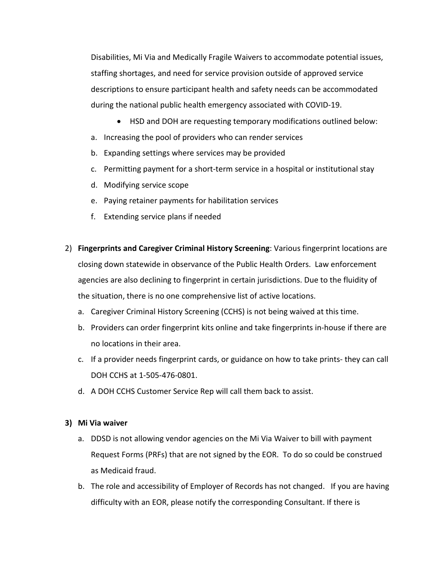Disabilities, Mi Via and Medically Fragile Waivers to accommodate potential issues, staffing shortages, and need for service provision outside of approved service descriptions to ensure participant health and safety needs can be accommodated during the national public health emergency associated with COVID-19.

- HSD and DOH are requesting temporary modifications outlined below:
- a. Increasing the pool of providers who can render services
- b. Expanding settings where services may be provided
- c. Permitting payment for a short-term service in a hospital or institutional stay
- d. Modifying service scope
- e. Paying retainer payments for habilitation services
- f. Extending service plans if needed
- 2) **Fingerprints and Caregiver Criminal History Screening**: Various fingerprint locations are closing down statewide in observance of the Public Health Orders. Law enforcement agencies are also declining to fingerprint in certain jurisdictions. Due to the fluidity of the situation, there is no one comprehensive list of active locations.
	- a. Caregiver Criminal History Screening (CCHS) is not being waived at this time.
	- b. Providers can order fingerprint kits online and take fingerprints in-house if there are no locations in their area.
	- c. If a provider needs fingerprint cards, or guidance on how to take prints- they can call DOH CCHS at 1-505-476-0801.
	- d. A DOH CCHS Customer Service Rep will call them back to assist.

#### **3) Mi Via waiver**

- a. DDSD is not allowing vendor agencies on the Mi Via Waiver to bill with payment Request Forms (PRFs) that are not signed by the EOR. To do so could be construed as Medicaid fraud.
- b. The role and accessibility of Employer of Records has not changed. If you are having difficulty with an EOR, please notify the corresponding Consultant. If there is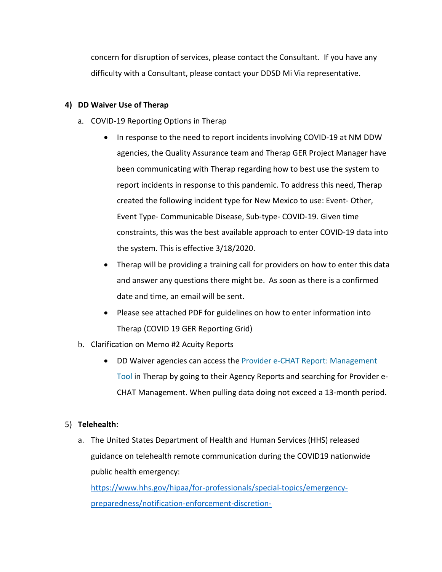concern for disruption of services, please contact the Consultant. If you have any difficulty with a Consultant, please contact your DDSD Mi Via representative.

### **4) DD Waiver Use of Therap**

- a. COVID-19 Reporting Options in Therap
	- In response to the need to report incidents involving COVID-19 at NM DDW agencies, the Quality Assurance team and Therap GER Project Manager have been communicating with Therap regarding how to best use the system to report incidents in response to this pandemic. To address this need, Therap created the following incident type for New Mexico to use: Event- Other, Event Type- Communicable Disease, Sub-type- COVID-19. Given time constraints, this was the best available approach to enter COVID-19 data into the system. This is effective 3/18/2020.
	- Therap will be providing a training call for providers on how to enter this data and answer any questions there might be. As soon as there is a confirmed date and time, an email will be sent.
	- Please see attached PDF for guidelines on how to enter information into Therap (COVID 19 GER Reporting Grid)
- b. Clarification on Memo #2 Acuity Reports
	- DD Waiver agencies can access the Provider e-CHAT Report: Management Tool in Therap by going to their Agency Reports and searching for Provider e-CHAT Management. When pulling data doing not exceed a 13-month period.

#### 5) **Telehealth**:

a. The United States Department of Health and Human Services (HHS) released guidance on telehealth remote communication during the COVID19 nationwide public health emergency:

[https://www.hhs.gov/hipaa/for-professionals/special-topics/emergency](https://www.hhs.gov/hipaa/for-professionals/special-topics/emergency-preparedness/notification-enforcement-discretion-telehealth/index.html?fbclid=IwAR1fkk9wQDhEmjZOVL7RUu9TqJW_5JBy_dX3nmZmMzlNWU%E2%80%A6)[preparedness/notification-enforcement-discretion-](https://www.hhs.gov/hipaa/for-professionals/special-topics/emergency-preparedness/notification-enforcement-discretion-telehealth/index.html?fbclid=IwAR1fkk9wQDhEmjZOVL7RUu9TqJW_5JBy_dX3nmZmMzlNWU%E2%80%A6)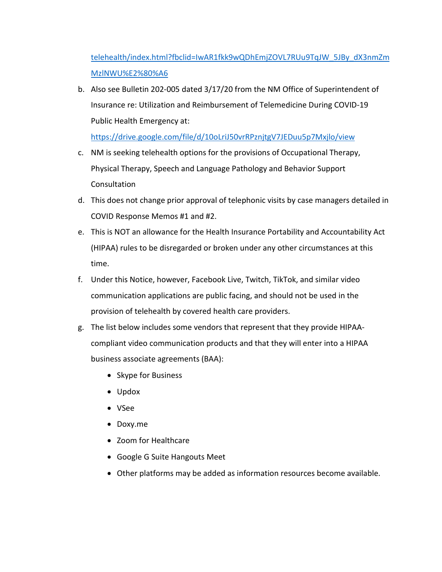[telehealth/index.html?fbclid=IwAR1fkk9wQDhEmjZOVL7RUu9TqJW\\_5JBy\\_dX3nmZm](https://www.hhs.gov/hipaa/for-professionals/special-topics/emergency-preparedness/notification-enforcement-discretion-telehealth/index.html?fbclid=IwAR1fkk9wQDhEmjZOVL7RUu9TqJW_5JBy_dX3nmZmMzlNWU%E2%80%A6) [MzlNWU%E2%80%A6](https://www.hhs.gov/hipaa/for-professionals/special-topics/emergency-preparedness/notification-enforcement-discretion-telehealth/index.html?fbclid=IwAR1fkk9wQDhEmjZOVL7RUu9TqJW_5JBy_dX3nmZmMzlNWU%E2%80%A6)

b. Also see Bulletin 202-005 dated 3/17/20 from the NM Office of Superintendent of Insurance re: Utilization and Reimbursement of Telemedicine During COVID-19 Public Health Emergency at:

<https://drive.google.com/file/d/10oLriJ50vrRPznjtgV7JEDuu5p7Mxjlo/view>

- c. NM is seeking telehealth options for the provisions of Occupational Therapy, Physical Therapy, Speech and Language Pathology and Behavior Support Consultation
- d. This does not change prior approval of telephonic visits by case managers detailed in COVID Response Memos #1 and #2.
- e. This is NOT an allowance for the Health Insurance Portability and Accountability Act (HIPAA) rules to be disregarded or broken under any other circumstances at this time.
- f. Under this Notice, however, Facebook Live, Twitch, TikTok, and similar video communication applications are public facing, and should not be used in the provision of telehealth by covered health care providers.
- g. The list below includes some vendors that represent that they provide HIPAAcompliant video communication products and that they will enter into a HIPAA business associate agreements (BAA):
	- Skype for Business
	- Updox
	- VSee
	- Doxy.me
	- Zoom for Healthcare
	- Google G Suite Hangouts Meet
	- Other platforms may be added as information resources become available.